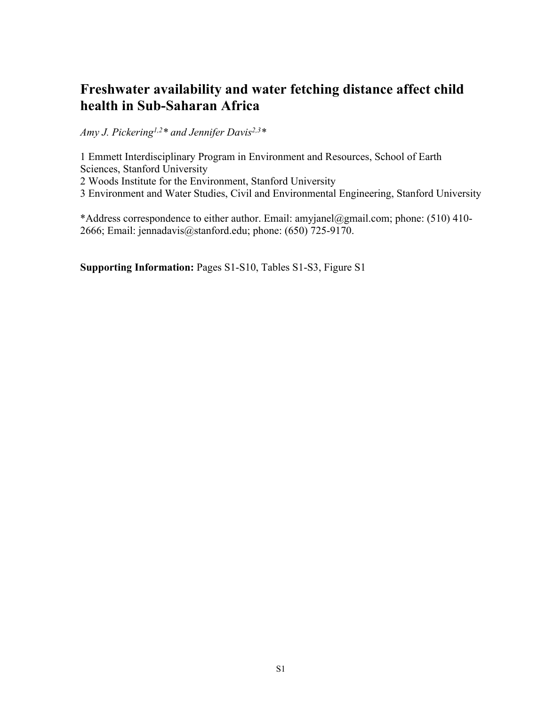# **Freshwater availability and water fetching distance affect child health in Sub-Saharan Africa**

*Amy J. Pickering1,2\* and Jennifer Davis2,3\** 

1 Emmett Interdisciplinary Program in Environment and Resources, School of Earth Sciences, Stanford University

2 Woods Institute for the Environment, Stanford University

3 Environment and Water Studies, Civil and Environmental Engineering, Stanford University

\*Address correspondence to either author. Email: amyjanel@gmail.com; phone: (510) 410- 2666; Email: jennadavis@stanford.edu; phone: (650) 725-9170.

**Supporting Information:** Pages S1-S10, Tables S1-S3, Figure S1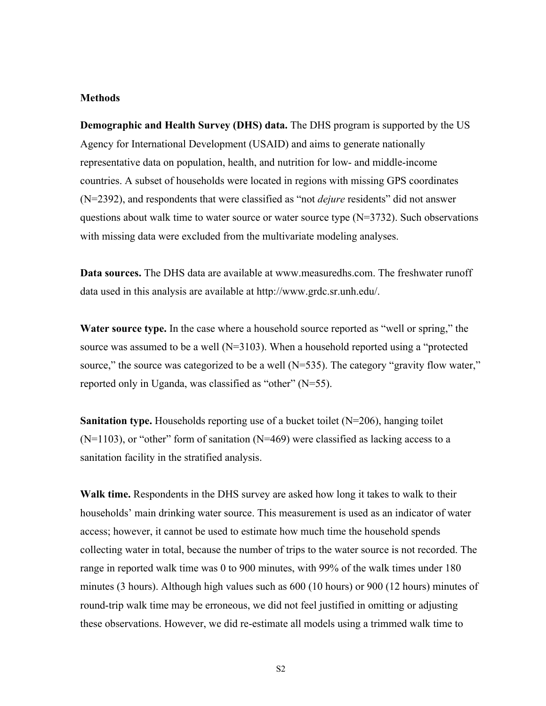#### **Methods**

**Demographic and Health Survey (DHS) data.** The DHS program is supported by the US Agency for International Development (USAID) and aims to generate nationally representative data on population, health, and nutrition for low- and middle-income countries. A subset of households were located in regions with missing GPS coordinates (N=2392), and respondents that were classified as "not *dejure* residents" did not answer questions about walk time to water source or water source type  $(N=3732)$ . Such observations with missing data were excluded from the multivariate modeling analyses.

**Data sources.** The DHS data are available at [www.measuredhs.com](http://www.measuredhs.com). The freshwater runoff data used in this analysis are available at http://www.grdc.sr.unh.edu/.

**Water source type.** In the case where a household source reported as "well or spring," the source was assumed to be a well (N=3103). When a household reported using a "protected source," the source was categorized to be a well  $(N=535)$ . The category "gravity flow water," reported only in Uganda, was classified as "other" (N=55).

**Sanitation type.** Households reporting use of a bucket toilet (N=206), hanging toilet  $(N=1103)$ , or "other" form of sanitation  $(N=469)$  were classified as lacking access to a sanitation facility in the stratified analysis.

**Walk time.** Respondents in the DHS survey are asked how long it takes to walk to their households' main drinking water source. This measurement is used as an indicator of water access; however, it cannot be used to estimate how much time the household spends collecting water in total, because the number of trips to the water source is not recorded. The range in reported walk time was 0 to 900 minutes, with 99% of the walk times under 180 minutes (3 hours). Although high values such as 600 (10 hours) or 900 (12 hours) minutes of round-trip walk time may be erroneous, we did not feel justified in omitting or adjusting these observations. However, we did re-estimate all models using a trimmed walk time to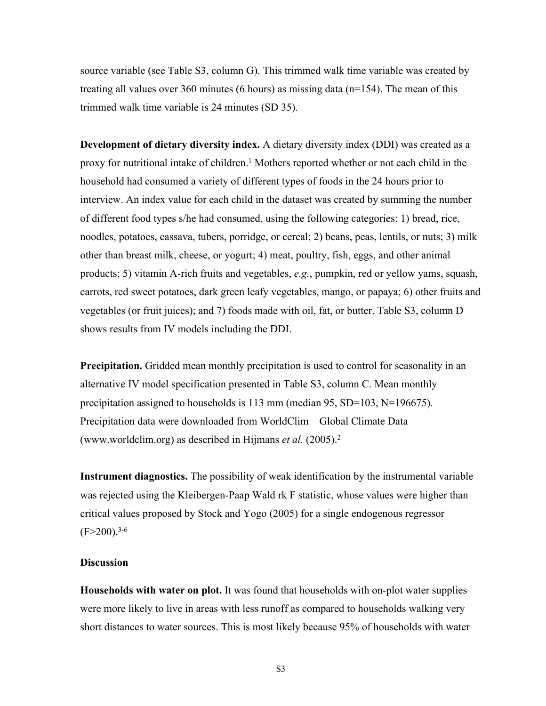source variable (see Table S3, column G). This trimmed walk time variable was created by treating all values over 360 minutes (6 hours) as missing data  $(n=154)$ . The mean of this trimmed walk time variable is 24 minutes (SD 35).

**Development of dietary diversity index.** A dietary diversity index (DDI) was created as a proxy for nutritional intake of children.<sup>[1](#page-9-0)</sup> Mothers reported whether or not each child in the household had consumed a variety of different types of foods in the 24 hours prior to interview. An index value for each child in the dataset was created by summing the number of different food types s/he had consumed, using the following categories: 1) bread, rice, noodles, potatoes, cassava, tubers, porridge, or cereal; 2) beans, peas, lentils, or nuts; 3) milk other than breast milk, cheese, or yogurt; 4) meat, poultry, fish, eggs, and other animal products; 5) vitamin A-rich fruits and vegetables, *e.g.*, pumpkin, red or yellow yams, squash, carrots, red sweet potatoes, dark green leafy vegetables, mango, or papaya; 6) other fruits and vegetables (or fruit juices); and 7) foods made with oil, fat, or butter. Table S3, column D shows results from IV models including the DDI.

**Precipitation.** Gridded mean monthly precipitation is used to control for seasonality in an alternative IV model specification presented in Table S3, column C. Mean monthly precipitation assigned to households is 113 mm (median 95, SD=103, N=196675). Precipitation data were downloaded from WorldClim – Global Climate Data (www.worldclim.org) as described in Hijmans *et al.* (2005).[2](#page-9-1)

**Instrument diagnostics.** The possibility of weak identification by the instrumental variable was rejected using the Kleibergen-Paap Wald rk F statistic, whose values were higher than critical values proposed by Stock and Yogo (2005) for a single endogenous regressor  $(F>200)$ .<sup>[3-6](#page-9-2)</sup>

#### **Discussion**

**Households with water on plot.** It was found that households with on-plot water supplies were more likely to live in areas with less runoff as compared to households walking very short distances to water sources. This is most likely because 95% of households with water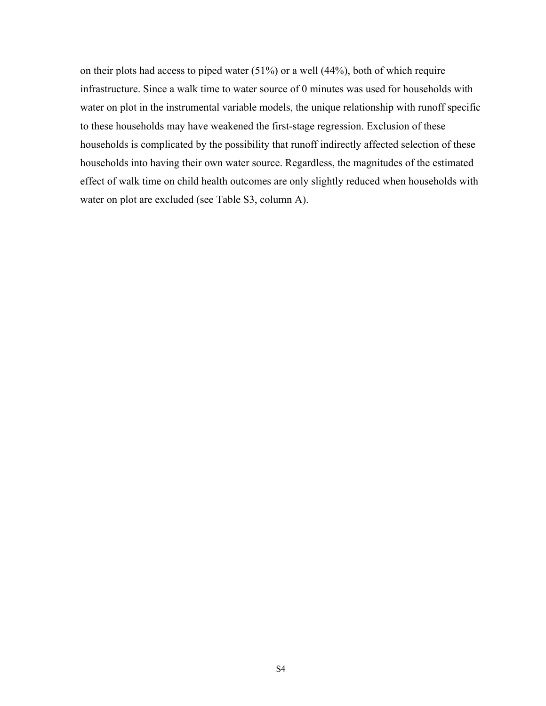on their plots had access to piped water (51%) or a well (44%), both of which require infrastructure. Since a walk time to water source of 0 minutes was used for households with water on plot in the instrumental variable models, the unique relationship with runoff specific to these households may have weakened the first-stage regression. Exclusion of these households is complicated by the possibility that runoff indirectly affected selection of these households into having their own water source. Regardless, the magnitudes of the estimated effect of walk time on child health outcomes are only slightly reduced when households with water on plot are excluded (see Table S3, column A).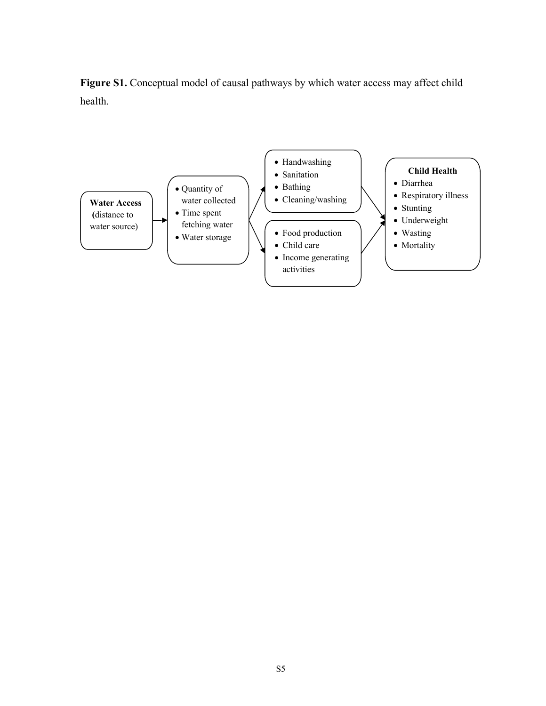Figure S1. Conceptual model of causal pathways by which water access may affect child health.

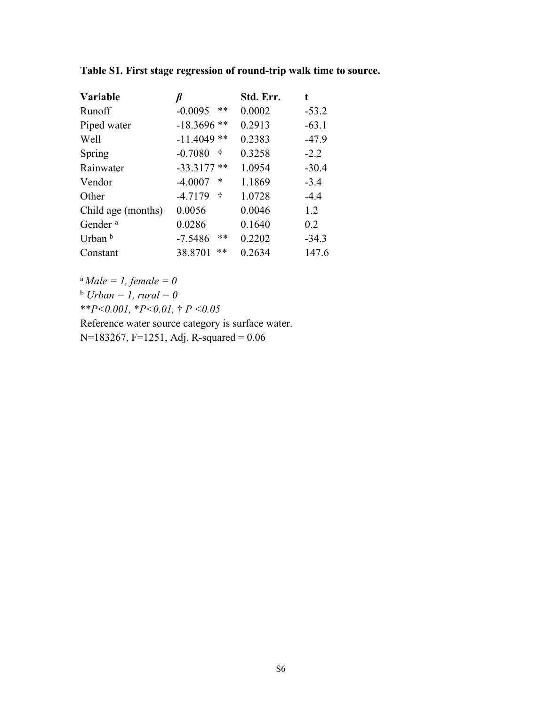| <b>Variable</b>     |                    | Std. Err. | t       |
|---------------------|--------------------|-----------|---------|
| Runoff              | $-0.0095$<br>**    | 0.0002    | $-53.2$ |
| Piped water         | $-18.3696$ **      | 0.2913    | $-63.1$ |
| Well                | $-11.4049**$       | 0.2383    | $-47.9$ |
| Spring              | $-0.7080$<br>∱     | 0.3258    | $-2.2$  |
| Rainwater           | $-33.3177$ **      | 1.0954    | $-30.4$ |
| Vendor              | $-4.0007$<br>*     | 1.1869    | $-3.4$  |
| Other               | $-4.7179$<br>t     | 1.0728    | $-4.4$  |
| Child age (months)  | 0.0056             | 0.0046    | 1.2     |
| Gender <sup>a</sup> | 0.0286             | 0.1640    | 0.2     |
| Urban b             | $***$<br>$-7.5486$ | 0.2202    | $-34.3$ |
| Constant            | **<br>38.8701      | 0.2634    | 147.6   |

**Table S1. First stage regression of round-trip walk time to source.**

<sup>a</sup>*Male = 1, female = 0*  $<sup>b</sup> Urban = 1, rural = 0$ </sup> \*\**P<0.001,* \**P<0.01,* † *P <0.05* Reference water source category is surface water.

N=183267, F=1251, Adj. R-squared = 0.06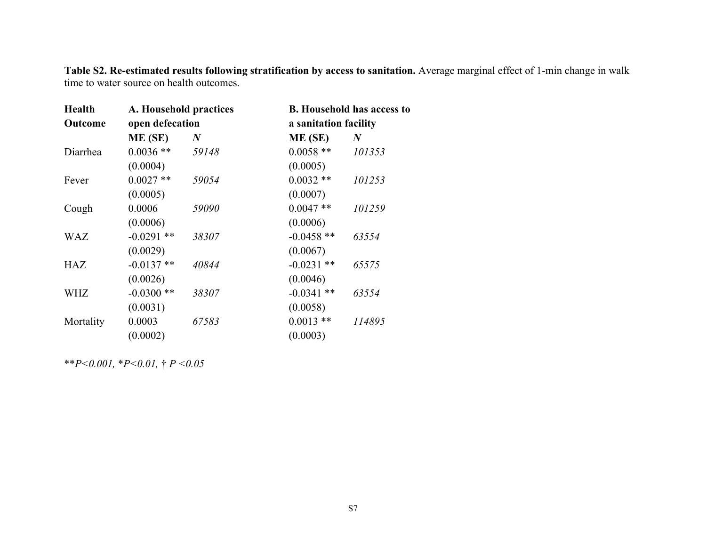**Table S2. Re-estimated results following stratification by access to sanitation.** Average marginal effect of 1-min change in walk time to water source on health outcomes.

| <b>Health</b>  | A. Household practices |          | <b>B.</b> Household has access to |          |  |  |
|----------------|------------------------|----------|-----------------------------------|----------|--|--|
| <b>Outcome</b> | open defecation        |          | a sanitation facility             |          |  |  |
|                | ME (SE)                | $\bm{N}$ | ME (SE)                           | $\bm{N}$ |  |  |
| Diarrhea       | $0.0036$ **            | 59148    | $0.0058$ **                       | 101353   |  |  |
|                | (0.0004)               |          | (0.0005)                          |          |  |  |
| Fever          | $0.0027**$             | 59054    | $0.0032**$                        | 101253   |  |  |
|                | (0.0005)               |          | (0.0007)                          |          |  |  |
| Cough          | 0.0006                 | 59090    | $0.0047**$                        | 101259   |  |  |
|                | (0.0006)               |          | (0.0006)                          |          |  |  |
| <b>WAZ</b>     | $-0.0291$ **           | 38307    | $-0.0458$ **                      | 63554    |  |  |
|                | (0.0029)               |          | (0.0067)                          |          |  |  |
| <b>HAZ</b>     | $-0.0137**$            | 40844    | $-0.0231$ **                      | 65575    |  |  |
|                | (0.0026)               |          | (0.0046)                          |          |  |  |
| WHZ            | $-0.0300**$            | 38307    | $-0.0341$ **                      | 63554    |  |  |
|                | (0.0031)               |          | (0.0058)                          |          |  |  |
| Mortality      | 0.0003                 | 67583    | $0.0013$ **                       | 114895   |  |  |
|                | (0.0002)               |          | (0.0003)                          |          |  |  |
|                |                        |          |                                   |          |  |  |

\*\**P<0.001,* \**P<0.01,* † *P <0.05*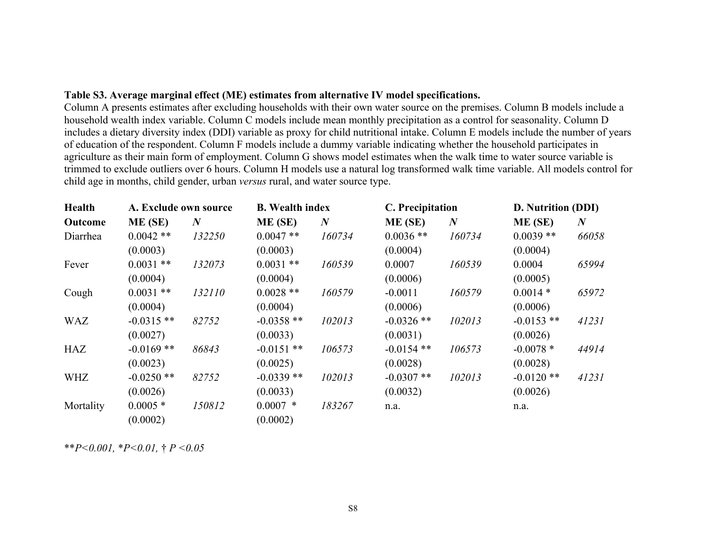#### **Table S3. Average marginal effect (ME) estimates from alternative IV model specifications.**

Column A presents estimates after excluding households with their own water source on the premises. Column B models include a household wealth index variable. Column C models include mean monthly precipitation as a control for seasonality. Column D includes a dietary diversity index (DDI) variable as proxy for child nutritional intake. Column E models include the number of years of education of the respondent. Column F models include a dummy variable indicating whether the household participates in agriculture as their main form of employment. Column G shows model estimates when the walk time to water source variable is trimmed to exclude outliers over 6 hours. Column H models use a natural log transformed walk time variable. All models control for child age in months, child gender, urban *versus* rural, and water source type.

| Health     | A. Exclude own source |                  | <b>B.</b> Wealth index |                  | C. Precipitation |                  | D. Nutrition (DDI) |                  |
|------------|-----------------------|------------------|------------------------|------------------|------------------|------------------|--------------------|------------------|
| Outcome    | ME (SE)               | $\boldsymbol{N}$ | ME (SE)                | $\boldsymbol{N}$ | ME(SE)           | $\boldsymbol{N}$ | ME (SE)            | $\boldsymbol{N}$ |
| Diarrhea   | $0.0042**$            | 132250           | $0.0047**$             | 160734           | $0.0036$ **      | 160734           | $0.0039**$         | 66058            |
|            | (0.0003)              |                  | (0.0003)               |                  | (0.0004)         |                  | (0.0004)           |                  |
| Fever      | $0.0031$ **           | 132073           | $0.0031$ **            | 160539           | 0.0007           | 160539           | 0.0004             | 65994            |
|            | (0.0004)              |                  | (0.0004)               |                  | (0.0006)         |                  | (0.0005)           |                  |
| Cough      | $0.0031$ **           | 132110           | $0.0028$ **            | 160579           | $-0.0011$        | 160579           | $0.0014*$          | 65972            |
|            | (0.0004)              |                  | (0.0004)               |                  | (0.0006)         |                  | (0.0006)           |                  |
| <b>WAZ</b> | $-0.0315$ **          | 82752            | $-0.0358$ **           | 102013           | $-0.0326$ **     | 102013           | $-0.0153$ **       | 41231            |
|            | (0.0027)              |                  | (0.0033)               |                  | (0.0031)         |                  | (0.0026)           |                  |
| HAZ        | $-0.0169$ **          | 86843            | $-0.0151$ **           | 106573           | $-0.0154$ **     | 106573           | $-0.0078*$         | 44914            |
|            | (0.0023)              |                  | (0.0025)               |                  | (0.0028)         |                  | (0.0028)           |                  |
| <b>WHZ</b> | $-0.0250$ **          | 82752            | $-0.0339**$            | 102013           | $-0.0307$ **     | 102013           | $-0.0120$ **       | 41231            |
|            | (0.0026)              |                  | (0.0033)               |                  | (0.0032)         |                  | (0.0026)           |                  |
| Mortality  | $0.0005*$             | 150812           | $0.0007$ *             | 183267           | n.a.             |                  | n.a.               |                  |
|            | (0.0002)              |                  | (0.0002)               |                  |                  |                  |                    |                  |

\*\**P<0.001,* \**P<0.01,* † *P <0.05*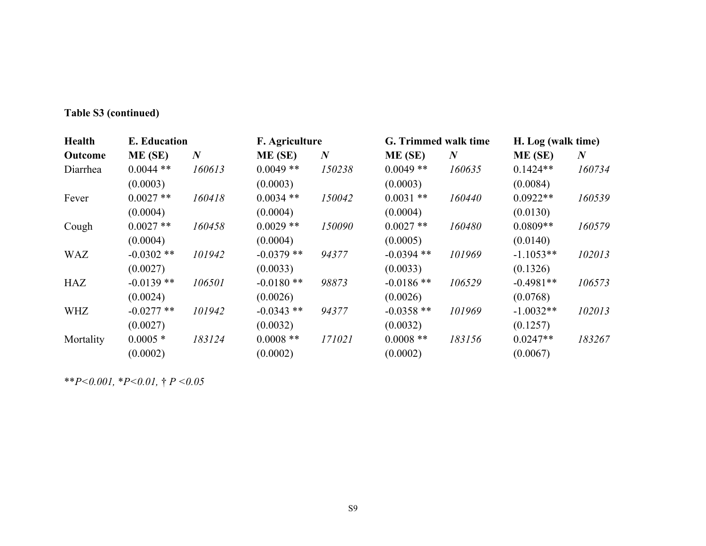## **Table S3 (continued)**

| <b>Health</b> | <b>E.</b> Education |                  | F. Agriculture |          | G. Trimmed walk time |                  | H. Log (walk time) |                  |
|---------------|---------------------|------------------|----------------|----------|----------------------|------------------|--------------------|------------------|
| Outcome       | ME(SE)              | $\boldsymbol{N}$ | ME (SE)        | $\bm{N}$ | ME(SE)               | $\boldsymbol{N}$ | ME (SE)            | $\boldsymbol{N}$ |
| Diarrhea      | $0.0044$ **         | 160613           | $0.0049**$     | 150238   | $0.0049**$           | 160635           | $0.1424**$         | 160734           |
|               | (0.0003)            |                  | (0.0003)       |          | (0.0003)             |                  | (0.0084)           |                  |
| Fever         | $0.0027$ **         | 160418           | $0.0034$ **    | 150042   | $0.0031$ **          | 160440           | $0.0922**$         | 160539           |
|               | (0.0004)            |                  | (0.0004)       |          | (0.0004)             |                  | (0.0130)           |                  |
| Cough         | $0.0027$ **         | 160458           | $0.0029**$     | 150090   | $0.0027$ **          | 160480           | $0.0809**$         | 160579           |
|               | (0.0004)            |                  | (0.0004)       |          | (0.0005)             |                  | (0.0140)           |                  |
| <b>WAZ</b>    | $-0.0302$ **        | 101942           | $-0.0379$ **   | 94377    | $-0.0394$ **         | 101969           | $-1.1053**$        | 102013           |
|               | (0.0027)            |                  | (0.0033)       |          | (0.0033)             |                  | (0.1326)           |                  |
| HAZ           | $-0.0139**$         | 106501           | $-0.0180**$    | 98873    | $-0.0186$ **         | 106529           | $-0.4981**$        | 106573           |
|               | (0.0024)            |                  | (0.0026)       |          | (0.0026)             |                  | (0.0768)           |                  |
| <b>WHZ</b>    | $-0.0277$ **        | 101942           | $-0.0343$ **   | 94377    | $-0.0358$ **         | 101969           | $-1.0032**$        | 102013           |
|               | (0.0027)            |                  | (0.0032)       |          | (0.0032)             |                  | (0.1257)           |                  |
| Mortality     | $0.0005*$           | 183124           | $0.0008$ **    | 171021   | $0.0008$ **          | 183156           | $0.0247**$         | 183267           |
|               | (0.0002)            |                  | (0.0002)       |          | (0.0002)             |                  | (0.0067)           |                  |

\*\**P<0.001,* \**P<0.01,* † *P <0.05*